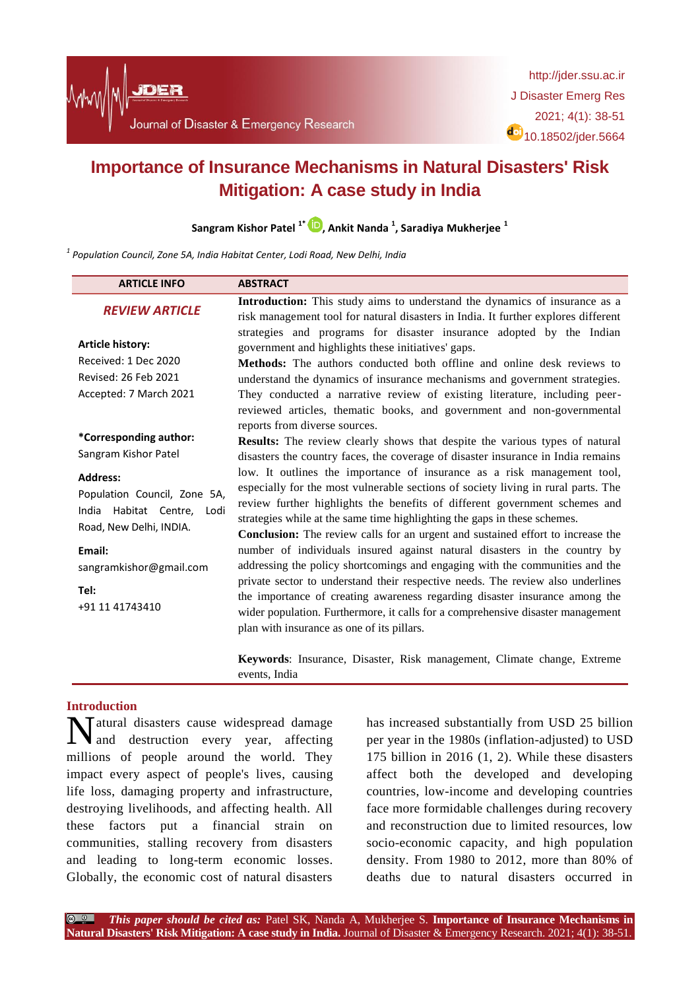

# **Importance of Insurance Mechanisms in Natural Disasters' Risk Mitigation: A case study in India**

**Sangram Kishor Patel 1\* , Ankit Nanda <sup>1</sup> , Saradiya Mukherjee <sup>1</sup>**

*1 Population Council, Zone 5A, India Habitat Center, Lodi Road, New Delhi, India*

| <b>ARTICLE INFO</b>                                                                                         | <b>ABSTRACT</b>                                                                                                                                                                                                                                                                                                                                                                                                                                              |
|-------------------------------------------------------------------------------------------------------------|--------------------------------------------------------------------------------------------------------------------------------------------------------------------------------------------------------------------------------------------------------------------------------------------------------------------------------------------------------------------------------------------------------------------------------------------------------------|
| <b>REVIEW ARTICLE</b>                                                                                       | Introduction: This study aims to understand the dynamics of insurance as a<br>risk management tool for natural disasters in India. It further explores different                                                                                                                                                                                                                                                                                             |
| <b>Article history:</b><br>Received: 1 Dec 2020<br>Revised: 26 Feb 2021<br>Accepted: 7 March 2021           | strategies and programs for disaster insurance adopted by the Indian<br>government and highlights these initiatives' gaps.<br><b>Methods:</b> The authors conducted both offline and online desk reviews to<br>understand the dynamics of insurance mechanisms and government strategies.<br>They conducted a narrative review of existing literature, including peer-<br>reviewed articles, thematic books, and government and non-governmental             |
| *Corresponding author:<br>Sangram Kishor Patel                                                              | reports from diverse sources.<br><b>Results:</b> The review clearly shows that despite the various types of natural<br>disasters the country faces, the coverage of disaster insurance in India remains                                                                                                                                                                                                                                                      |
| <b>Address:</b><br>Population Council, Zone 5A,<br>India Habitat Centre,<br>Lodi<br>Road, New Delhi, INDIA. | low. It outlines the importance of insurance as a risk management tool,<br>especially for the most vulnerable sections of society living in rural parts. The<br>review further highlights the benefits of different government schemes and<br>strategies while at the same time highlighting the gaps in these schemes.<br>Conclusion: The review calls for an urgent and sustained effort to increase the                                                   |
| Email:<br>sangramkishor@gmail.com<br>Tel:<br>+91 11 41743410                                                | number of individuals insured against natural disasters in the country by<br>addressing the policy shortcomings and engaging with the communities and the<br>private sector to understand their respective needs. The review also underlines<br>the importance of creating awareness regarding disaster insurance among the<br>wider population. Furthermore, it calls for a comprehensive disaster management<br>plan with insurance as one of its pillars. |
|                                                                                                             | Keywords: Insurance, Disaster, Risk management, Climate change, Extreme<br>events, India                                                                                                                                                                                                                                                                                                                                                                     |

# **Introduction**

**N**atural disasters cause widespread damage<br>and destruction every year, affecting and destruction every year, affecting millions of people around the world. They impact every aspect of people's lives, causing life loss, damaging property and infrastructure, destroying livelihoods, and affecting health. All these factors put a financial strain on communities, stalling recovery from disasters and leading to long-term economic losses. Globally, the economic cost of natural disasters

has increased substantially from USD 25 billion per year in the 1980s (inflation-adjusted) to USD 175 billion in 2016 (1, 2). While these disasters affect both the developed and developing countries, low-income and developing countries face more formidable challenges during recovery and reconstruction due to limited resources, low socio-economic capacity, and high population density. From 1980 to 2012, more than 80% of deaths due to natural disasters occurred in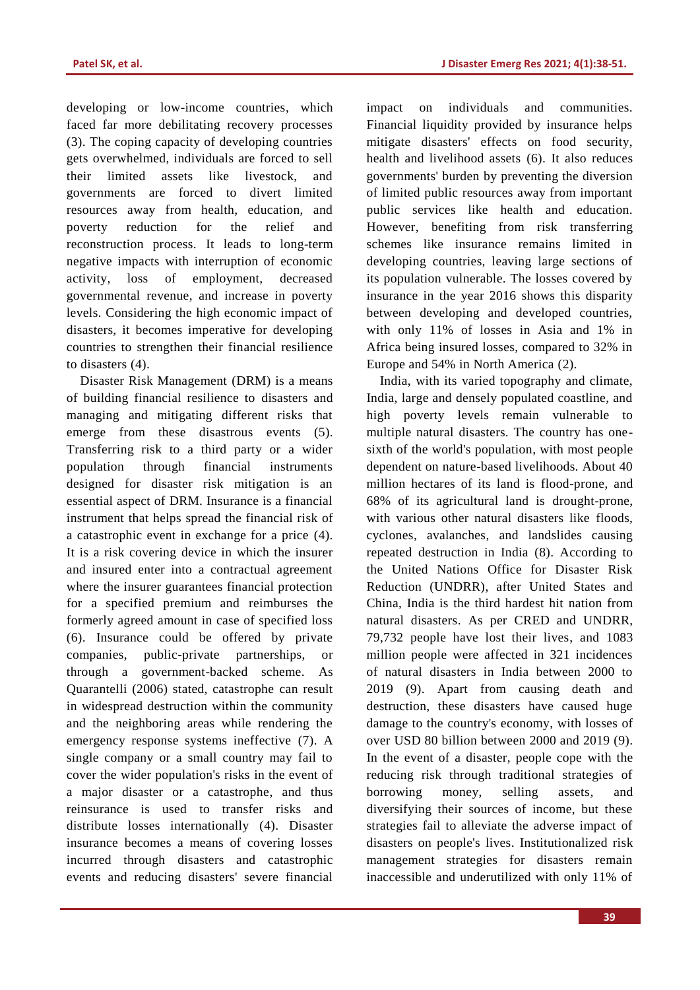developing or low-income countries, which faced far more debilitating recovery processes (3). The coping capacity of developing countries gets overwhelmed, individuals are forced to sell their limited assets like livestock, and governments are forced to divert limited resources away from health, education, and poverty reduction for the relief and reconstruction process. It leads to long-term negative impacts with interruption of economic activity, loss of employment, decreased governmental revenue, and increase in poverty levels. Considering the high economic impact of disasters, it becomes imperative for developing countries to strengthen their financial resilience to disasters (4).

Disaster Risk Management (DRM) is a means of building financial resilience to disasters and managing and mitigating different risks that emerge from these disastrous events (5). Transferring risk to a third party or a wider population through financial instruments designed for disaster risk mitigation is an essential aspect of DRM. Insurance is a financial instrument that helps spread the financial risk of a catastrophic event in exchange for a price (4). It is a risk covering device in which the insurer and insured enter into a contractual agreement where the insurer guarantees financial protection for a specified premium and reimburses the formerly agreed amount in case of specified loss (6). Insurance could be offered by private companies, public-private partnerships, or through a government-backed scheme. As Quarantelli (2006) stated, catastrophe can result in widespread destruction within the community and the neighboring areas while rendering the emergency response systems ineffective (7). A single company or a small country may fail to cover the wider population's risks in the event of a major disaster or a catastrophe, and thus reinsurance is used to transfer risks and distribute losses internationally (4). Disaster insurance becomes a means of covering losses incurred through disasters and catastrophic events and reducing disasters' severe financial impact on individuals and communities. Financial liquidity provided by insurance helps mitigate disasters' effects on food security, health and livelihood assets (6). It also reduces governments' burden by preventing the diversion of limited public resources away from important public services like health and education. However, benefiting from risk transferring schemes like insurance remains limited in developing countries, leaving large sections of its population vulnerable. The losses covered by insurance in the year 2016 shows this disparity between developing and developed countries, with only 11% of losses in Asia and 1% in Africa being insured losses, compared to 32% in Europe and 54% in North America (2).

India, with its varied topography and climate, India, large and densely populated coastline, and high poverty levels remain vulnerable to multiple natural disasters. The country has onesixth of the world's population, with most people dependent on nature-based livelihoods. About 40 million hectares of its land is flood-prone, and 68% of its agricultural land is drought-prone, with various other natural disasters like floods, cyclones, avalanches, and landslides causing repeated destruction in India (8). According to the United Nations Office for Disaster Risk Reduction (UNDRR), after United States and China, India is the third hardest hit nation from natural disasters. As per CRED and UNDRR, 79,732 people have lost their lives, and 1083 million people were affected in 321 incidences of natural disasters in India between 2000 to 2019 (9). Apart from causing death and destruction, these disasters have caused huge damage to the country's economy, with losses of over USD 80 billion between 2000 and 2019 (9). In the event of a disaster, people cope with the reducing risk through traditional strategies of borrowing money, selling assets, and diversifying their sources of income, but these strategies fail to alleviate the adverse impact of disasters on people's lives. Institutionalized risk management strategies for disasters remain inaccessible and underutilized with only 11% of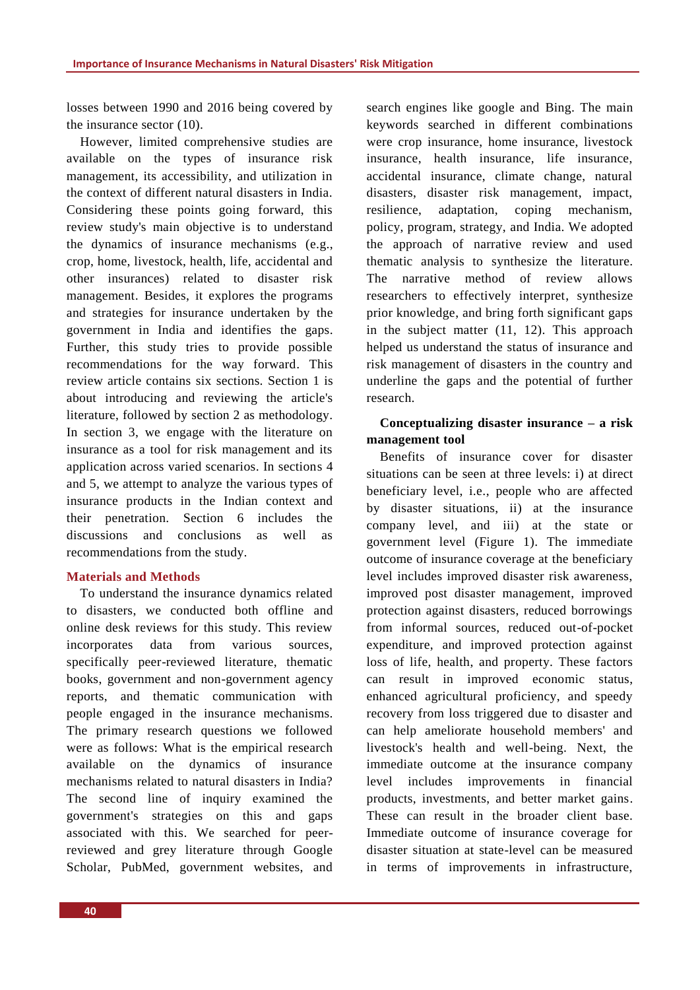losses between 1990 and 2016 being covered by the insurance sector (10).

However, limited comprehensive studies are available on the types of insurance risk management, its accessibility, and utilization in the context of different natural disasters in India. Considering these points going forward, this review study's main objective is to understand the dynamics of insurance mechanisms (e.g., crop, home, livestock, health, life, accidental and other insurances) related to disaster risk management. Besides, it explores the programs and strategies for insurance undertaken by the government in India and identifies the gaps. Further, this study tries to provide possible recommendations for the way forward. This review article contains six sections. Section 1 is about introducing and reviewing the article's literature, followed by section 2 as methodology. In section 3, we engage with the literature on insurance as a tool for risk management and its application across varied scenarios. In sections 4 and 5, we attempt to analyze the various types of insurance products in the Indian context and their penetration. Section 6 includes the discussions and conclusions as well as recommendations from the study.

#### **Materials and Methods**

To understand the insurance dynamics related to disasters, we conducted both offline and online desk reviews for this study. This review incorporates data from various sources, specifically peer-reviewed literature, thematic books, government and non-government agency reports, and thematic communication with people engaged in the insurance mechanisms. The primary research questions we followed were as follows: What is the empirical research available on the dynamics of insurance mechanisms related to natural disasters in India? The second line of inquiry examined the government's strategies on this and gaps associated with this. We searched for peerreviewed and grey literature through Google Scholar, PubMed, government websites, and search engines like google and Bing. The main keywords searched in different combinations were crop insurance, home insurance, livestock insurance, health insurance, life insurance, accidental insurance, climate change, natural disasters, disaster risk management, impact, resilience, adaptation, coping mechanism, policy, program, strategy, and India. We adopted the approach of narrative review and used thematic analysis to synthesize the literature. The narrative method of review allows researchers to effectively interpret, synthesize prior knowledge, and bring forth significant gaps in the subject matter (11, 12). This approach helped us understand the status of insurance and risk management of disasters in the country and underline the gaps and the potential of further research.

# **Conceptualizing disaster insurance – a risk management tool**

Benefits of insurance cover for disaster situations can be seen at three levels: i) at direct beneficiary level, i.e., people who are affected by disaster situations, ii) at the insurance company level, and iii) at the state or government level (Figure 1). The immediate outcome of insurance coverage at the beneficiary level includes improved disaster risk awareness, improved post disaster management, improved protection against disasters, reduced borrowings from informal sources, reduced out-of-pocket expenditure, and improved protection against loss of life, health, and property. These factors can result in improved economic status, enhanced agricultural proficiency, and speedy recovery from loss triggered due to disaster and can help ameliorate household members' and livestock's health and well-being. Next, the immediate outcome at the insurance company level includes improvements in financial products, investments, and better market gains. These can result in the broader client base. Immediate outcome of insurance coverage for disaster situation at state-level can be measured in terms of improvements in infrastructure,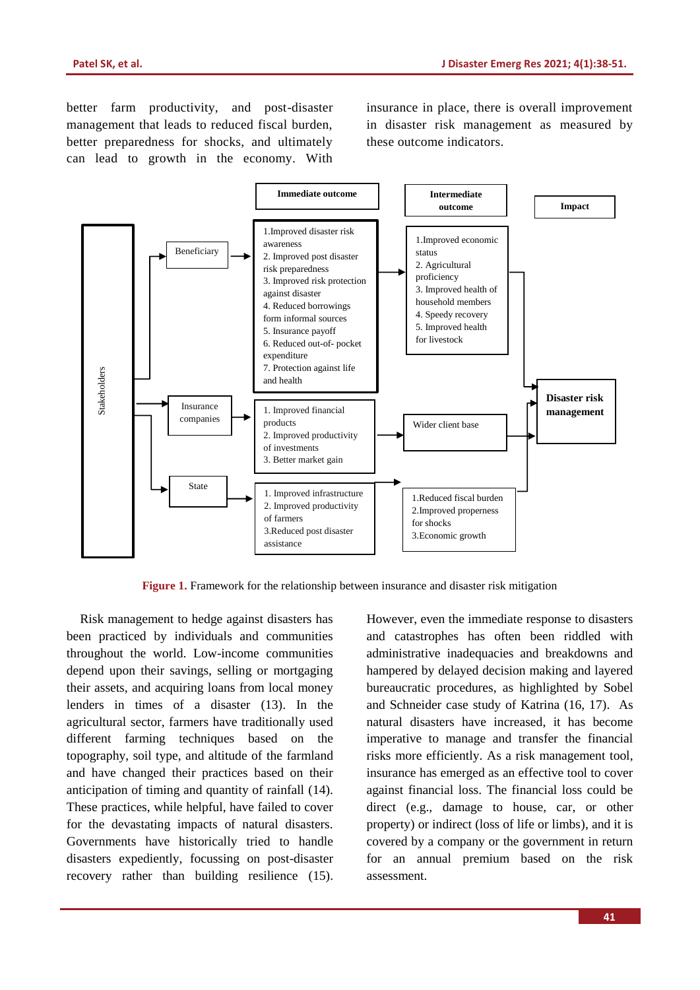better farm productivity, and post-disaster management that leads to reduced fiscal burden, better preparedness for shocks, and ultimately can lead to growth in the economy. With insurance in place, there is overall improvement in disaster risk management as measured by these outcome indicators.



**Figure 1.** Framework for the relationship between insurance and disaster risk mitigation

Risk management to hedge against disasters has been practiced by individuals and communities throughout the world. Low-income communities depend upon their savings, selling or mortgaging their assets, and acquiring loans from local money lenders in times of a disaster (13). In the agricultural sector, farmers have traditionally used different farming techniques based on the topography, soil type, and altitude of the farmland and have changed their practices based on their anticipation of timing and quantity of rainfall (14). These practices, while helpful, have failed to cover for the devastating impacts of natural disasters. Governments have historically tried to handle disasters expediently, focussing on post-disaster recovery rather than building resilience (15). However, even the immediate response to disasters and catastrophes has often been riddled with administrative inadequacies and breakdowns and hampered by delayed decision making and layered bureaucratic procedures, as highlighted by Sobel and Schneider case study of Katrina (16, 17). As natural disasters have increased, it has become imperative to manage and transfer the financial risks more efficiently. As a risk management tool, insurance has emerged as an effective tool to cover against financial loss. The financial loss could be direct (e.g., damage to house, car, or other property) or indirect (loss of life or limbs), and it is covered by a company or the government in return for an annual premium based on the risk assessment.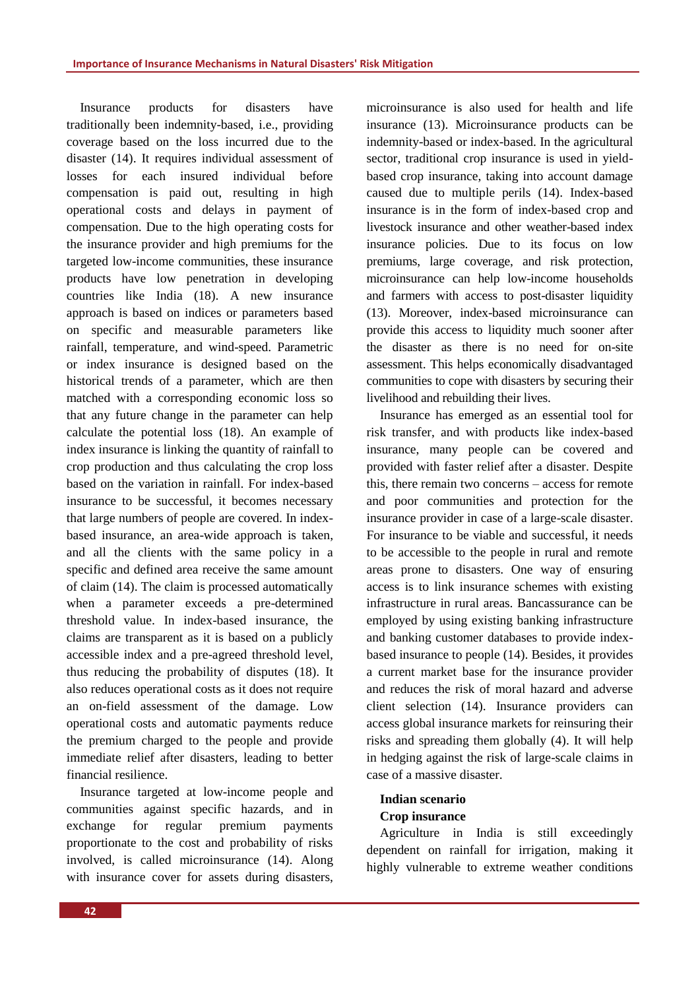Insurance products for disasters have traditionally been indemnity-based, i.e., providing coverage based on the loss incurred due to the disaster (14). It requires individual assessment of losses for each insured individual before compensation is paid out, resulting in high operational costs and delays in payment of compensation. Due to the high operating costs for the insurance provider and high premiums for the targeted low-income communities, these insurance products have low penetration in developing countries like India (18). A new insurance approach is based on indices or parameters based on specific and measurable parameters like rainfall, temperature, and wind-speed. Parametric or index insurance is designed based on the historical trends of a parameter, which are then matched with a corresponding economic loss so that any future change in the parameter can help calculate the potential loss (18). An example of index insurance is linking the quantity of rainfall to crop production and thus calculating the crop loss based on the variation in rainfall. For index-based insurance to be successful, it becomes necessary that large numbers of people are covered. In indexbased insurance, an area-wide approach is taken, and all the clients with the same policy in a specific and defined area receive the same amount of claim (14). The claim is processed automatically when a parameter exceeds a pre-determined threshold value. In index-based insurance, the claims are transparent as it is based on a publicly accessible index and a pre-agreed threshold level, thus reducing the probability of disputes (18). It also reduces operational costs as it does not require an on-field assessment of the damage. Low operational costs and automatic payments reduce the premium charged to the people and provide immediate relief after disasters, leading to better financial resilience.

Insurance targeted at low-income people and communities against specific hazards, and in exchange for regular premium payments proportionate to the cost and probability of risks involved, is called microinsurance (14). Along with insurance cover for assets during disasters, microinsurance is also used for health and life insurance (13). Microinsurance products can be indemnity-based or index-based. In the agricultural sector, traditional crop insurance is used in yieldbased crop insurance, taking into account damage caused due to multiple perils (14). Index-based insurance is in the form of index-based crop and livestock insurance and other weather-based index insurance policies. Due to its focus on low premiums, large coverage, and risk protection, microinsurance can help low-income households and farmers with access to post-disaster liquidity (13). Moreover, index-based microinsurance can provide this access to liquidity much sooner after the disaster as there is no need for on-site assessment. This helps economically disadvantaged communities to cope with disasters by securing their livelihood and rebuilding their lives.

Insurance has emerged as an essential tool for risk transfer, and with products like index-based insurance, many people can be covered and provided with faster relief after a disaster. Despite this, there remain two concerns – access for remote and poor communities and protection for the insurance provider in case of a large-scale disaster. For insurance to be viable and successful, it needs to be accessible to the people in rural and remote areas prone to disasters. One way of ensuring access is to link insurance schemes with existing infrastructure in rural areas. Bancassurance can be employed by using existing banking infrastructure and banking customer databases to provide indexbased insurance to people (14). Besides, it provides a current market base for the insurance provider and reduces the risk of moral hazard and adverse client selection (14). Insurance providers can access global insurance markets for reinsuring their risks and spreading them globally (4). It will help in hedging against the risk of large-scale claims in case of a massive disaster.

#### **Indian scenario**

# **Crop insurance**

Agriculture in India is still exceedingly dependent on rainfall for irrigation, making it highly vulnerable to extreme weather conditions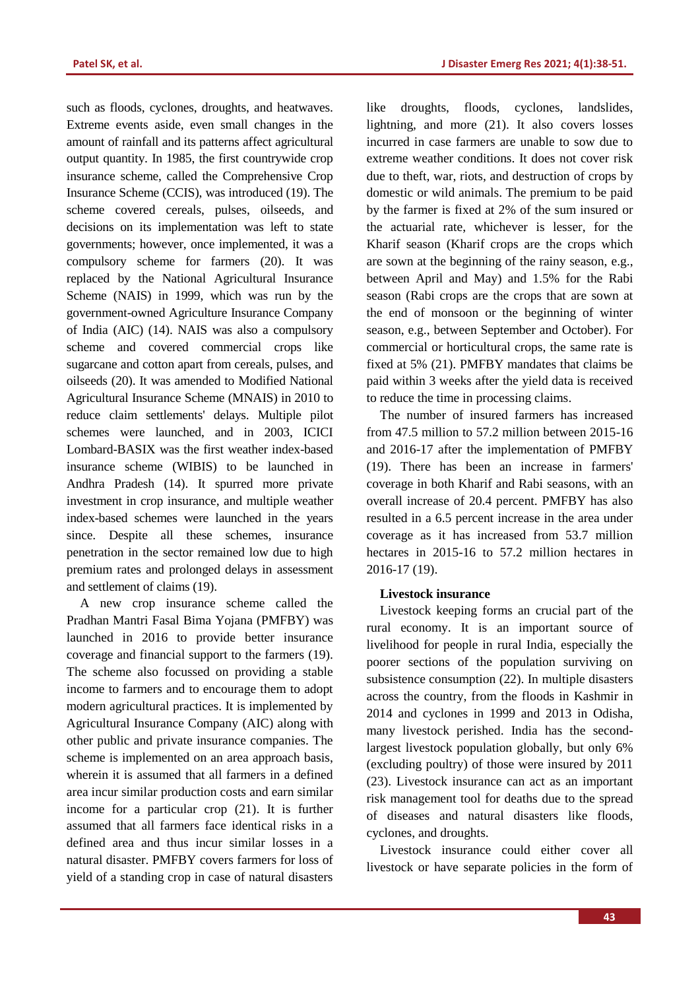such as floods, cyclones, droughts, and heatwaves. Extreme events aside, even small changes in the amount of rainfall and its patterns affect agricultural output quantity. In 1985, the first countrywide crop insurance scheme, called the Comprehensive Crop Insurance Scheme (CCIS), was introduced (19). The scheme covered cereals, pulses, oilseeds, and decisions on its implementation was left to state governments; however, once implemented, it was a compulsory scheme for farmers (20). It was replaced by the National Agricultural Insurance Scheme (NAIS) in 1999, which was run by the government-owned Agriculture Insurance Company of India (AIC) (14). NAIS was also a compulsory scheme and covered commercial crops like sugarcane and cotton apart from cereals, pulses, and oilseeds (20). It was amended to Modified National Agricultural Insurance Scheme (MNAIS) in 2010 to reduce claim settlements' delays. Multiple pilot schemes were launched, and in 2003, ICICI Lombard-BASIX was the first weather index-based insurance scheme (WIBIS) to be launched in Andhra Pradesh (14). It spurred more private investment in crop insurance, and multiple weather index-based schemes were launched in the years since. Despite all these schemes, insurance penetration in the sector remained low due to high premium rates and prolonged delays in assessment and settlement of claims (19).

A new crop insurance scheme called the Pradhan Mantri Fasal Bima Yojana (PMFBY) was launched in 2016 to provide better insurance coverage and financial support to the farmers (19). The scheme also focussed on providing a stable income to farmers and to encourage them to adopt modern agricultural practices. It is implemented by Agricultural Insurance Company (AIC) along with other public and private insurance companies. The scheme is implemented on an area approach basis, wherein it is assumed that all farmers in a defined area incur similar production costs and earn similar income for a particular crop (21). It is further assumed that all farmers face identical risks in a defined area and thus incur similar losses in a natural disaster. PMFBY covers farmers for loss of yield of a standing crop in case of natural disasters like droughts, floods, cyclones, landslides, lightning, and more (21). It also covers losses incurred in case farmers are unable to sow due to extreme weather conditions. It does not cover risk due to theft, war, riots, and destruction of crops by domestic or wild animals. The premium to be paid by the farmer is fixed at 2% of the sum insured or the actuarial rate, whichever is lesser, for the Kharif season (Kharif crops are the crops which are sown at the beginning of the rainy season, e.g., between April and May) and 1.5% for the Rabi season (Rabi crops are the crops that are sown at the end of monsoon or the beginning of winter season, e.g., between September and October). For commercial or horticultural crops, the same rate is fixed at 5% (21). PMFBY mandates that claims be paid within 3 weeks after the yield data is received to reduce the time in processing claims.

The number of insured farmers has increased from 47.5 million to 57.2 million between 2015-16 and 2016-17 after the implementation of PMFBY (19). There has been an increase in farmers' coverage in both Kharif and Rabi seasons, with an overall increase of 20.4 percent. PMFBY has also resulted in a 6.5 percent increase in the area under coverage as it has increased from 53.7 million hectares in 2015-16 to 57.2 million hectares in 2016-17 (19).

#### **Livestock insurance**

Livestock keeping forms an crucial part of the rural economy. It is an important source of livelihood for people in rural India, especially the poorer sections of the population surviving on subsistence consumption (22). In multiple disasters across the country, from the floods in Kashmir in 2014 and cyclones in 1999 and 2013 in Odisha, many livestock perished. India has the secondlargest livestock population globally, but only 6% (excluding poultry) of those were insured by 2011 (23). Livestock insurance can act as an important risk management tool for deaths due to the spread of diseases and natural disasters like floods, cyclones, and droughts.

Livestock insurance could either cover all livestock or have separate policies in the form of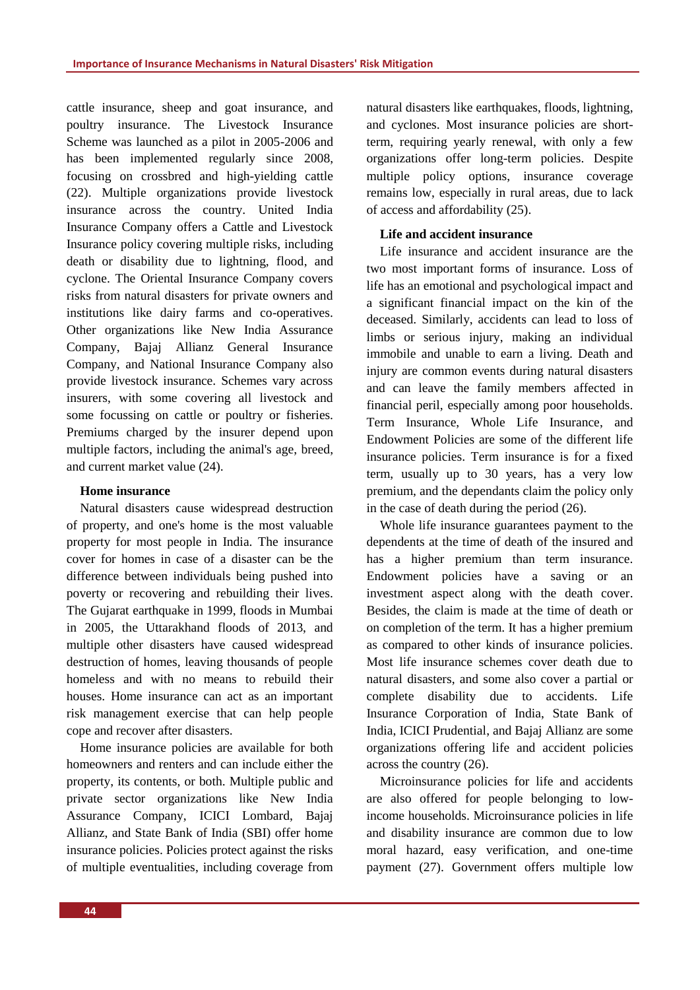cattle insurance, sheep and goat insurance, and poultry insurance. The Livestock Insurance Scheme was launched as a pilot in 2005-2006 and has been implemented regularly since 2008, focusing on crossbred and high-yielding cattle (22). Multiple organizations provide livestock insurance across the country. United India Insurance Company offers a Cattle and Livestock Insurance policy covering multiple risks, including death or disability due to lightning, flood, and cyclone. The Oriental Insurance Company covers risks from natural disasters for private owners and institutions like dairy farms and co-operatives. Other organizations like New India Assurance Company, Bajaj Allianz General Insurance Company, and National Insurance Company also provide livestock insurance. Schemes vary across insurers, with some covering all livestock and some focussing on cattle or poultry or fisheries. Premiums charged by the insurer depend upon multiple factors, including the animal's age, breed, and current market value (24).

#### **Home insurance**

Natural disasters cause widespread destruction of property, and one's home is the most valuable property for most people in India. The insurance cover for homes in case of a disaster can be the difference between individuals being pushed into poverty or recovering and rebuilding their lives. The Gujarat earthquake in 1999, floods in Mumbai in 2005, the Uttarakhand floods of 2013, and multiple other disasters have caused widespread destruction of homes, leaving thousands of people homeless and with no means to rebuild their houses. Home insurance can act as an important risk management exercise that can help people cope and recover after disasters.

Home insurance policies are available for both homeowners and renters and can include either the property, its contents, or both. Multiple public and private sector organizations like New India Assurance Company, ICICI Lombard, Bajaj Allianz, and State Bank of India (SBI) offer home insurance policies. Policies protect against the risks of multiple eventualities, including coverage from natural disasters like earthquakes, floods, lightning, and cyclones. Most insurance policies are shortterm, requiring yearly renewal, with only a few organizations offer long-term policies. Despite multiple policy options, insurance coverage remains low, especially in rural areas, due to lack of access and affordability (25).

#### **Life and accident insurance**

Life insurance and accident insurance are the two most important forms of insurance. Loss of life has an emotional and psychological impact and a significant financial impact on the kin of the deceased. Similarly, accidents can lead to loss of limbs or serious injury, making an individual immobile and unable to earn a living. Death and injury are common events during natural disasters and can leave the family members affected in financial peril, especially among poor households. Term Insurance, Whole Life Insurance, and Endowment Policies are some of the different life insurance policies. Term insurance is for a fixed term, usually up to 30 years, has a very low premium, and the dependants claim the policy only in the case of death during the period (26).

Whole life insurance guarantees payment to the dependents at the time of death of the insured and has a higher premium than term insurance. Endowment policies have a saving or an investment aspect along with the death cover. Besides, the claim is made at the time of death or on completion of the term. It has a higher premium as compared to other kinds of insurance policies. Most life insurance schemes cover death due to natural disasters, and some also cover a partial or complete disability due to accidents. Life Insurance Corporation of India, State Bank of India, ICICI Prudential, and Bajaj Allianz are some organizations offering life and accident policies across the country (26).

Microinsurance policies for life and accidents are also offered for people belonging to lowincome households. Microinsurance policies in life and disability insurance are common due to low moral hazard, easy verification, and one-time payment (27). Government offers multiple low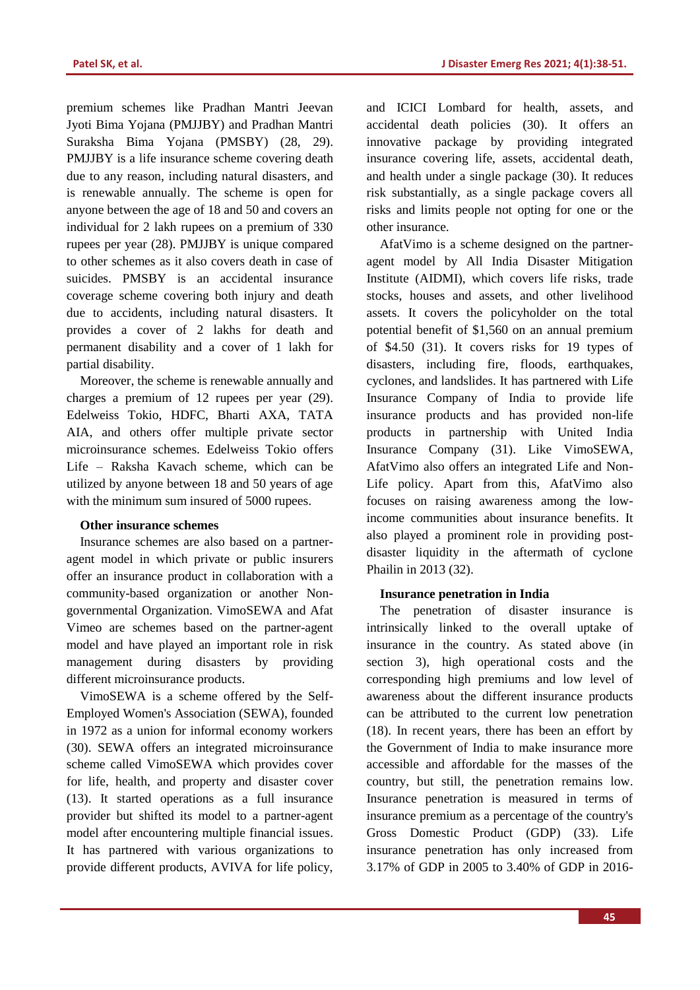premium schemes like Pradhan Mantri Jeevan Jyoti Bima Yojana (PMJJBY) and Pradhan Mantri Suraksha Bima Yojana (PMSBY) (28, 29). PMJJBY is a life insurance scheme covering death due to any reason, including natural disasters, and is renewable annually. The scheme is open for anyone between the age of 18 and 50 and covers an individual for 2 lakh rupees on a premium of 330 rupees per year (28). PMJJBY is unique compared to other schemes as it also covers death in case of suicides. PMSBY is an accidental insurance coverage scheme covering both injury and death due to accidents, including natural disasters. It provides a cover of 2 lakhs for death and permanent disability and a cover of 1 lakh for partial disability.

Moreover, the scheme is renewable annually and charges a premium of 12 rupees per year (29). Edelweiss Tokio, HDFC, Bharti AXA, TATA AIA, and others offer multiple private sector microinsurance schemes. Edelweiss Tokio offers Life – Raksha Kavach scheme, which can be utilized by anyone between 18 and 50 years of age with the minimum sum insured of 5000 rupees.

### **Other insurance schemes**

Insurance schemes are also based on a partneragent model in which private or public insurers offer an insurance product in collaboration with a community-based organization or another Nongovernmental Organization. VimoSEWA and Afat Vimeo are schemes based on the partner-agent model and have played an important role in risk management during disasters by providing different microinsurance products.

VimoSEWA is a scheme offered by the Self-Employed Women's Association (SEWA), founded in 1972 as a union for informal economy workers (30). SEWA offers an integrated microinsurance scheme called VimoSEWA which provides cover for life, health, and property and disaster cover (13). It started operations as a full insurance provider but shifted its model to a partner-agent model after encountering multiple financial issues. It has partnered with various organizations to provide different products, AVIVA for life policy, and ICICI Lombard for health, assets, and accidental death policies (30). It offers an innovative package by providing integrated insurance covering life, assets, accidental death, and health under a single package (30). It reduces risk substantially, as a single package covers all risks and limits people not opting for one or the other insurance.

AfatVimo is a scheme designed on the partneragent model by All India Disaster Mitigation Institute (AIDMI), which covers life risks, trade stocks, houses and assets, and other livelihood assets. It covers the policyholder on the total potential benefit of \$1,560 on an annual premium of \$4.50 (31). It covers risks for 19 types of disasters, including fire, floods, earthquakes, cyclones, and landslides. It has partnered with Life Insurance Company of India to provide life insurance products and has provided non-life products in partnership with United India Insurance Company (31). Like VimoSEWA, AfatVimo also offers an integrated Life and Non-Life policy. Apart from this, AfatVimo also focuses on raising awareness among the lowincome communities about insurance benefits. It also played a prominent role in providing postdisaster liquidity in the aftermath of cyclone Phailin in 2013 (32).

#### **Insurance penetration in India**

The penetration of disaster insurance is intrinsically linked to the overall uptake of insurance in the country. As stated above (in section 3), high operational costs and the corresponding high premiums and low level of awareness about the different insurance products can be attributed to the current low penetration (18). In recent years, there has been an effort by the Government of India to make insurance more accessible and affordable for the masses of the country, but still, the penetration remains low. Insurance penetration is measured in terms of insurance premium as a percentage of the country's Gross Domestic Product (GDP) (33). Life insurance penetration has only increased from 3.17% of GDP in 2005 to 3.40% of GDP in 2016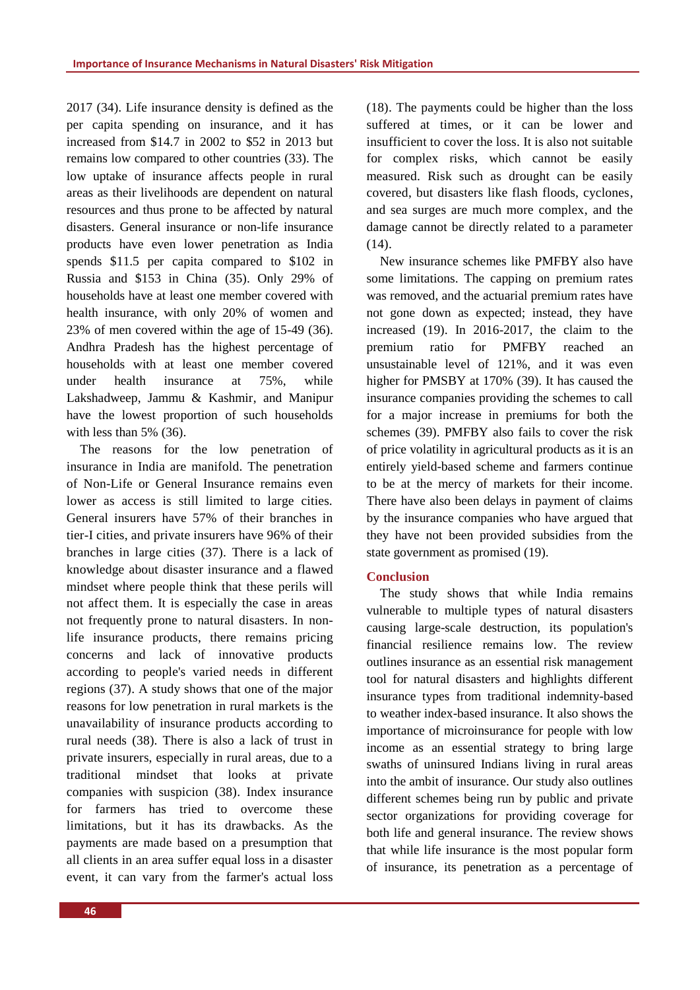2017 (34). Life insurance density is defined as the per capita spending on insurance, and it has increased from \$14.7 in 2002 to \$52 in 2013 but remains low compared to other countries (33). The low uptake of insurance affects people in rural areas as their livelihoods are dependent on natural resources and thus prone to be affected by natural disasters. General insurance or non-life insurance products have even lower penetration as India spends \$11.5 per capita compared to \$102 in Russia and \$153 in China (35). Only 29% of households have at least one member covered with health insurance, with only 20% of women and 23% of men covered within the age of 15-49 (36). Andhra Pradesh has the highest percentage of households with at least one member covered under health insurance at 75%, while Lakshadweep, Jammu & Kashmir, and Manipur have the lowest proportion of such households with less than 5% (36).

The reasons for the low penetration of insurance in India are manifold. The penetration of Non-Life or General Insurance remains even lower as access is still limited to large cities. General insurers have 57% of their branches in tier-I cities, and private insurers have 96% of their branches in large cities (37). There is a lack of knowledge about disaster insurance and a flawed mindset where people think that these perils will not affect them. It is especially the case in areas not frequently prone to natural disasters. In nonlife insurance products, there remains pricing concerns and lack of innovative products according to people's varied needs in different regions (37). A study shows that one of the major reasons for low penetration in rural markets is the unavailability of insurance products according to rural needs (38). There is also a lack of trust in private insurers, especially in rural areas, due to a traditional mindset that looks at private companies with suspicion (38). Index insurance for farmers has tried to overcome these limitations, but it has its drawbacks. As the payments are made based on a presumption that all clients in an area suffer equal loss in a disaster event, it can vary from the farmer's actual loss (18). The payments could be higher than the loss suffered at times, or it can be lower and insufficient to cover the loss. It is also not suitable for complex risks, which cannot be easily measured. Risk such as drought can be easily covered, but disasters like flash floods, cyclones, and sea surges are much more complex, and the damage cannot be directly related to a parameter  $(14)$ .

New insurance schemes like PMFBY also have some limitations. The capping on premium rates was removed, and the actuarial premium rates have not gone down as expected; instead, they have increased (19). In 2016-2017, the claim to the premium ratio for PMFBY reached an unsustainable level of 121%, and it was even higher for PMSBY at 170% (39). It has caused the insurance companies providing the schemes to call for a major increase in premiums for both the schemes (39). PMFBY also fails to cover the risk of price volatility in agricultural products as it is an entirely yield-based scheme and farmers continue to be at the mercy of markets for their income. There have also been delays in payment of claims by the insurance companies who have argued that they have not been provided subsidies from the state government as promised (19).

# **Conclusion**

The study shows that while India remains vulnerable to multiple types of natural disasters causing large-scale destruction, its population's financial resilience remains low. The review outlines insurance as an essential risk management tool for natural disasters and highlights different insurance types from traditional indemnity-based to weather index-based insurance. It also shows the importance of microinsurance for people with low income as an essential strategy to bring large swaths of uninsured Indians living in rural areas into the ambit of insurance. Our study also outlines different schemes being run by public and private sector organizations for providing coverage for both life and general insurance. The review shows that while life insurance is the most popular form of insurance, its penetration as a percentage of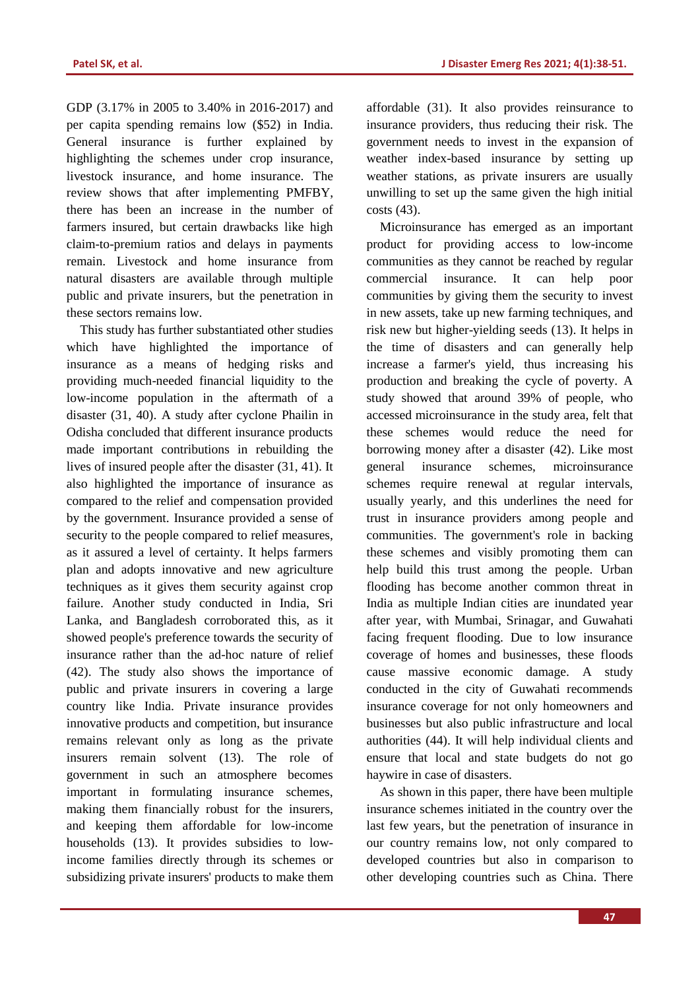GDP (3.17% in 2005 to 3.40% in 2016-2017) and per capita spending remains low (\$52) in India. General insurance is further explained by highlighting the schemes under crop insurance, livestock insurance, and home insurance. The review shows that after implementing PMFBY, there has been an increase in the number of farmers insured, but certain drawbacks like high claim-to-premium ratios and delays in payments remain. Livestock and home insurance from natural disasters are available through multiple public and private insurers, but the penetration in these sectors remains low.

This study has further substantiated other studies which have highlighted the importance of insurance as a means of hedging risks and providing much-needed financial liquidity to the low-income population in the aftermath of a disaster (31, 40). A study after cyclone Phailin in Odisha concluded that different insurance products made important contributions in rebuilding the lives of insured people after the disaster (31, 41). It also highlighted the importance of insurance as compared to the relief and compensation provided by the government. Insurance provided a sense of security to the people compared to relief measures, as it assured a level of certainty. It helps farmers plan and adopts innovative and new agriculture techniques as it gives them security against crop failure. Another study conducted in India, Sri Lanka, and Bangladesh corroborated this, as it showed people's preference towards the security of insurance rather than the ad-hoc nature of relief (42). The study also shows the importance of public and private insurers in covering a large country like India. Private insurance provides innovative products and competition, but insurance remains relevant only as long as the private insurers remain solvent (13). The role of government in such an atmosphere becomes important in formulating insurance schemes, making them financially robust for the insurers, and keeping them affordable for low-income households (13). It provides subsidies to lowincome families directly through its schemes or subsidizing private insurers' products to make them affordable (31). It also provides reinsurance to insurance providers, thus reducing their risk. The government needs to invest in the expansion of weather index-based insurance by setting up weather stations, as private insurers are usually unwilling to set up the same given the high initial costs (43).

Microinsurance has emerged as an important product for providing access to low-income communities as they cannot be reached by regular commercial insurance. It can help poor communities by giving them the security to invest in new assets, take up new farming techniques, and risk new but higher-yielding seeds (13). It helps in the time of disasters and can generally help increase a farmer's yield, thus increasing his production and breaking the cycle of poverty. A study showed that around 39% of people, who accessed microinsurance in the study area, felt that these schemes would reduce the need for borrowing money after a disaster (42). Like most general insurance schemes, microinsurance schemes require renewal at regular intervals, usually yearly, and this underlines the need for trust in insurance providers among people and communities. The government's role in backing these schemes and visibly promoting them can help build this trust among the people. Urban flooding has become another common threat in India as multiple Indian cities are inundated year after year, with Mumbai, Srinagar, and Guwahati facing frequent flooding. Due to low insurance coverage of homes and businesses, these floods cause massive economic damage. A study conducted in the city of Guwahati recommends insurance coverage for not only homeowners and businesses but also public infrastructure and local authorities (44). It will help individual clients and ensure that local and state budgets do not go haywire in case of disasters.

As shown in this paper, there have been multiple insurance schemes initiated in the country over the last few years, but the penetration of insurance in our country remains low, not only compared to developed countries but also in comparison to other developing countries such as China. There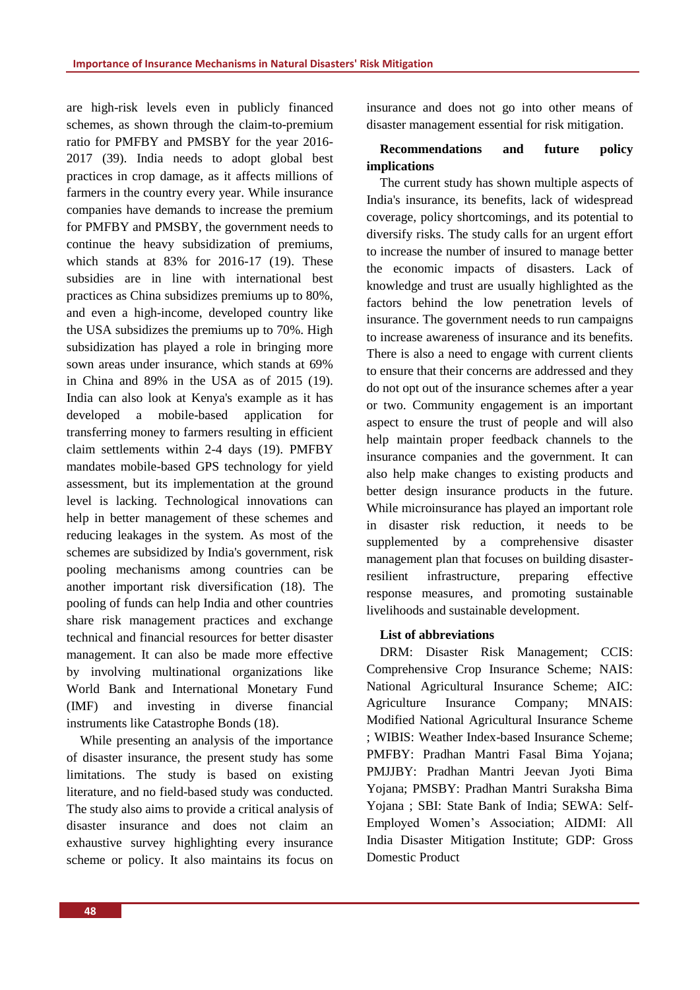are high-risk levels even in publicly financed schemes, as shown through the claim-to-premium ratio for PMFBY and PMSBY for the year 2016- 2017 (39). India needs to adopt global best practices in crop damage, as it affects millions of farmers in the country every year. While insurance companies have demands to increase the premium for PMFBY and PMSBY, the government needs to continue the heavy subsidization of premiums, which stands at 83% for 2016-17 (19). These subsidies are in line with international best practices as China subsidizes premiums up to 80%, and even a high-income, developed country like the USA subsidizes the premiums up to 70%. High subsidization has played a role in bringing more sown areas under insurance, which stands at 69% in China and 89% in the USA as of 2015 (19). India can also look at Kenya's example as it has developed a mobile-based application for transferring money to farmers resulting in efficient claim settlements within 2-4 days (19). PMFBY mandates mobile-based GPS technology for yield assessment, but its implementation at the ground level is lacking. Technological innovations can help in better management of these schemes and reducing leakages in the system. As most of the schemes are subsidized by India's government, risk pooling mechanisms among countries can be another important risk diversification (18). The pooling of funds can help India and other countries share risk management practices and exchange technical and financial resources for better disaster management. It can also be made more effective by involving multinational organizations like World Bank and International Monetary Fund (IMF) and investing in diverse financial instruments like Catastrophe Bonds (18).

While presenting an analysis of the importance of disaster insurance, the present study has some limitations. The study is based on existing literature, and no field-based study was conducted. The study also aims to provide a critical analysis of disaster insurance and does not claim an exhaustive survey highlighting every insurance scheme or policy. It also maintains its focus on insurance and does not go into other means of disaster management essential for risk mitigation.

# **Recommendations and future policy implications**

The current study has shown multiple aspects of India's insurance, its benefits, lack of widespread coverage, policy shortcomings, and its potential to diversify risks. The study calls for an urgent effort to increase the number of insured to manage better the economic impacts of disasters. Lack of knowledge and trust are usually highlighted as the factors behind the low penetration levels of insurance. The government needs to run campaigns to increase awareness of insurance and its benefits. There is also a need to engage with current clients to ensure that their concerns are addressed and they do not opt out of the insurance schemes after a year or two. Community engagement is an important aspect to ensure the trust of people and will also help maintain proper feedback channels to the insurance companies and the government. It can also help make changes to existing products and better design insurance products in the future. While microinsurance has played an important role in disaster risk reduction, it needs to be supplemented by a comprehensive disaster management plan that focuses on building disasterresilient infrastructure, preparing effective response measures, and promoting sustainable livelihoods and sustainable development.

# **List of abbreviations**

DRM: Disaster Risk Management; CCIS: Comprehensive Crop Insurance Scheme; NAIS: National Agricultural Insurance Scheme; AIC: Agriculture Insurance Company; MNAIS: Modified National Agricultural Insurance Scheme ; WIBIS: Weather Index-based Insurance Scheme; PMFBY: Pradhan Mantri Fasal Bima Yojana; PMJJBY: Pradhan Mantri Jeevan Jyoti Bima Yojana; PMSBY: Pradhan Mantri Suraksha Bima Yojana ; SBI: State Bank of India; SEWA: Self-Employed Women's Association; AIDMI: All India Disaster Mitigation Institute; GDP: Gross Domestic Product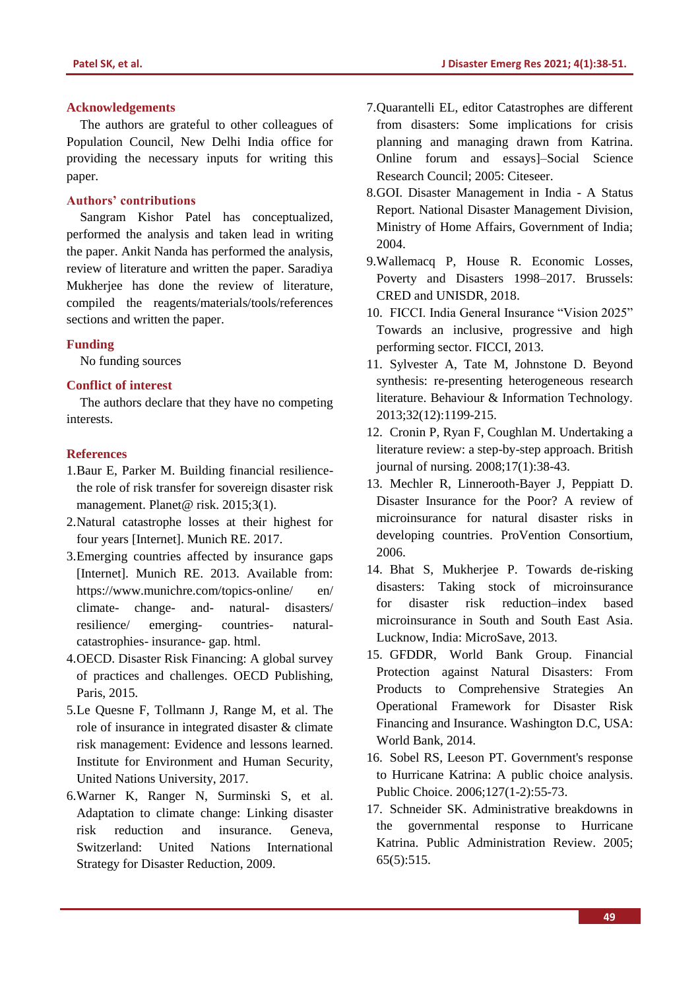#### **Acknowledgements**

The authors are grateful to other colleagues of Population Council, New Delhi India office for providing the necessary inputs for writing this paper.

# **Authors' contributions**

Sangram Kishor Patel has conceptualized, performed the analysis and taken lead in writing the paper. Ankit Nanda has performed the analysis, review of literature and written the paper. Saradiya Mukherjee has done the review of literature, compiled the reagents/materials/tools/references sections and written the paper.

#### **Funding**

No funding sources

#### **Conflict of interest**

The authors declare that they have no competing interests.

#### **References**

- 1.Baur E, Parker M. Building financial resiliencethe role of risk transfer for sovereign disaster risk management. Planet@ risk. 2015;3(1).
- 2.Natural catastrophe losses at their highest for four years [Internet]. Munich RE. 2017.
- 3.Emerging countries affected by insurance gaps [Internet]. Munich RE. 2013. Available from: https://www.munichre.com/topics-online/ en/ climate- change- and- natural- disasters/ resilience/ emerging- countries- naturalcatastrophies- insurance- gap. html.
- 4.OECD. Disaster Risk Financing: A global survey of practices and challenges. OECD Publishing, Paris, 2015.
- 5.Le Quesne F, Tollmann J, Range M, et al. The role of insurance in integrated disaster & climate risk management: Evidence and lessons learned. Institute for Environment and Human Security, United Nations University, 2017.
- 6.Warner K, Ranger N, Surminski S, et al. Adaptation to climate change: Linking disaster risk reduction and insurance. Geneva, Switzerland: United Nations International Strategy for Disaster Reduction, 2009.
- 7.Quarantelli EL, editor Catastrophes are different from disasters: Some implications for crisis planning and managing drawn from Katrina. Online forum and essays]–Social Science Research Council; 2005: Citeseer.
- 8.GOI. Disaster Management in India A Status Report. National Disaster Management Division, Ministry of Home Affairs, Government of India; 2004.
- 9.Wallemacq P, House R. Economic Losses, Poverty and Disasters 1998–2017. Brussels: CRED and UNISDR, 2018.
- 10. FICCI. India General Insurance "Vision 2025" Towards an inclusive, progressive and high performing sector. FICCI, 2013.
- 11. Sylvester A, Tate M, Johnstone D. Beyond synthesis: re-presenting heterogeneous research literature. Behaviour & Information Technology. 2013;32(12):1199-215.
- 12. Cronin P, Ryan F, Coughlan M. Undertaking a literature review: a step-by-step approach. British journal of nursing. 2008;17(1):38-43.
- 13. Mechler R, Linnerooth-Bayer J, Peppiatt D. Disaster Insurance for the Poor? A review of microinsurance for natural disaster risks in developing countries. ProVention Consortium, 2006.
- 14. Bhat S, Mukherjee P. Towards de-risking disasters: Taking stock of microinsurance for disaster risk reduction–index based microinsurance in South and South East Asia. Lucknow, India: MicroSave, 2013.
- 15. GFDDR, World Bank Group. Financial Protection against Natural Disasters: From Products to Comprehensive Strategies An Operational Framework for Disaster Risk Financing and Insurance. Washington D.C, USA: World Bank, 2014.
- 16. Sobel RS, Leeson PT. Government's response to Hurricane Katrina: A public choice analysis. Public Choice. 2006;127(1-2):55-73.
- 17. Schneider SK. Administrative breakdowns in the governmental response to Hurricane Katrina. Public Administration Review. 2005; 65(5):515.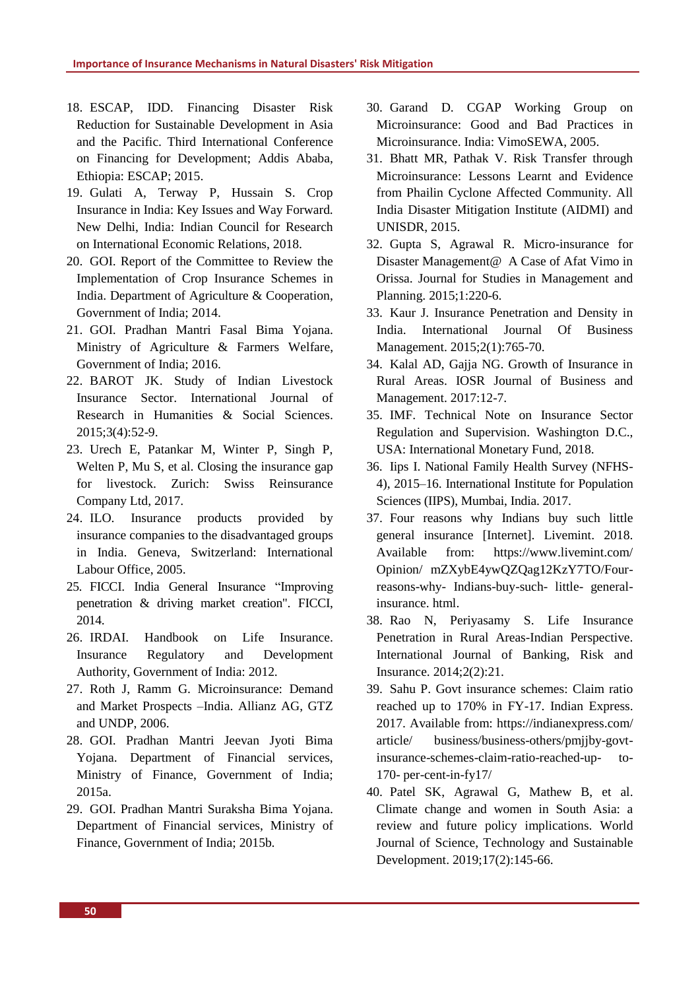- 18. ESCAP, IDD. Financing Disaster Risk Reduction for Sustainable Development in Asia and the Pacific. Third International Conference on Financing for Development; Addis Ababa, Ethiopia: ESCAP; 2015.
- 19. Gulati A, Terway P, Hussain S. Crop Insurance in India: Key Issues and Way Forward. New Delhi, India: Indian Council for Research on International Economic Relations, 2018.
- 20. GOI. Report of the Committee to Review the Implementation of Crop Insurance Schemes in India. Department of Agriculture & Cooperation, Government of India; 2014.
- 21. GOI. Pradhan Mantri Fasal Bima Yojana. Ministry of Agriculture & Farmers Welfare, Government of India; 2016.
- 22. BAROT JK. Study of Indian Livestock Insurance Sector. International Journal of Research in Humanities & Social Sciences. 2015;3(4):52-9.
- 23. Urech E, Patankar M, Winter P, Singh P, Welten P, Mu S, et al. Closing the insurance gap for livestock. Zurich: Swiss Reinsurance Company Ltd, 2017.
- 24. ILO. Insurance products provided by insurance companies to the disadvantaged groups in India. Geneva, Switzerland: International Labour Office, 2005.
- 25. FICCI. India General Insurance "Improving penetration & driving market creation". FICCI, 2014.
- 26. IRDAI. Handbook on Life Insurance. Insurance Regulatory and Development Authority, Government of India: 2012.
- 27. Roth J, Ramm G. Microinsurance: Demand and Market Prospects –India. Allianz AG, GTZ and UNDP, 2006.
- 28. GOI. Pradhan Mantri Jeevan Jyoti Bima Yojana. Department of Financial services, Ministry of Finance, Government of India; 2015a.
- 29. GOI. Pradhan Mantri Suraksha Bima Yojana. Department of Financial services, Ministry of Finance, Government of India; 2015b.
- 30. Garand D. CGAP Working Group on Microinsurance: Good and Bad Practices in Microinsurance. India: VimoSEWA, 2005.
- 31. Bhatt MR, Pathak V. Risk Transfer through Microinsurance: Lessons Learnt and Evidence from Phailin Cyclone Affected Community. All India Disaster Mitigation Institute (AIDMI) and UNISDR, 2015.
- 32. Gupta S, Agrawal R. Micro-insurance for Disaster Management@ A Case of Afat Vimo in Orissa. Journal for Studies in Management and Planning. 2015;1:220-6.
- 33. Kaur J. Insurance Penetration and Density in India. International Journal Of Business Management. 2015;2(1):765-70.
- 34. Kalal AD, Gajja NG. Growth of Insurance in Rural Areas. IOSR Journal of Business and Management. 2017:12-7.
- 35. IMF. Technical Note on Insurance Sector Regulation and Supervision. Washington D.C., USA: International Monetary Fund, 2018.
- 36. Iips I. National Family Health Survey (NFHS-4), 2015–16. International Institute for Population Sciences (IIPS), Mumbai, India. 2017.
- 37. Four reasons why Indians buy such little general insurance [Internet]. Livemint. 2018. Available from: https://www.livemint.com/ Opinion/ mZXybE4ywQZQag12KzY7TO/Fourreasons-why- Indians-buy-such- little- generalinsurance. html.
- 38. Rao N, Periyasamy S. Life Insurance Penetration in Rural Areas-Indian Perspective. International Journal of Banking, Risk and Insurance. 2014;2(2):21.
- 39. Sahu P. Govt insurance schemes: Claim ratio reached up to 170% in FY-17. Indian Express. 2017. Available from: https://indianexpress.com/ article/ business/business-others/pmjjby-govtinsurance-schemes-claim-ratio-reached-up- to-170- per-cent-in-fy17/
- 40. Patel SK, Agrawal G, Mathew B, et al. Climate change and women in South Asia: a review and future policy implications. World Journal of Science, Technology and Sustainable Development. 2019;17(2):145-66.